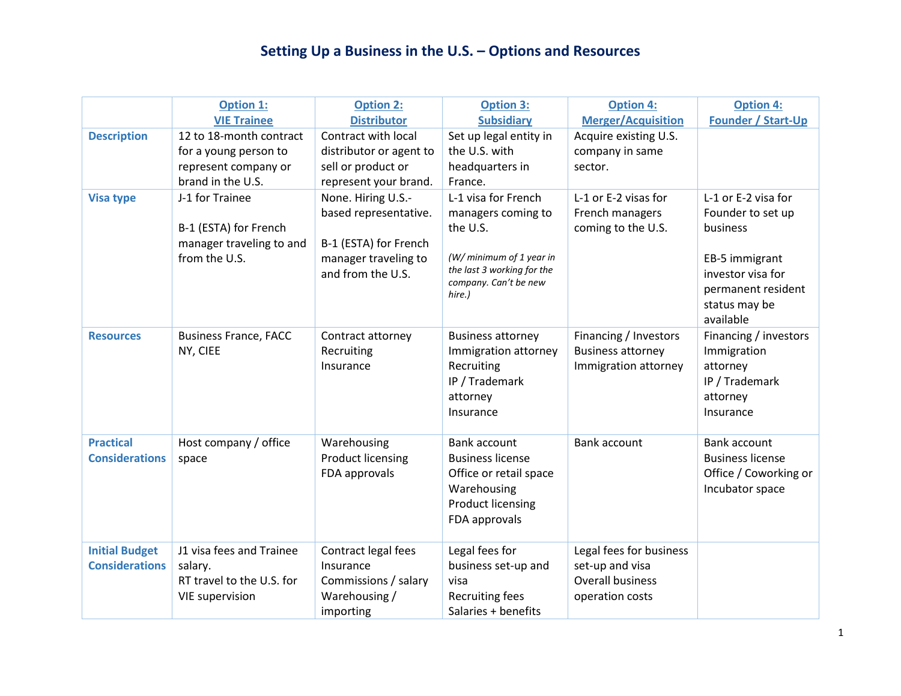## **Setting Up a Business in the U.S. – Options and Resources**

|                       | <b>Option 1:</b>             | <b>Option 2:</b>         | <b>Option 3:</b>                                    | <b>Option 4:</b>          | <b>Option 4:</b>          |
|-----------------------|------------------------------|--------------------------|-----------------------------------------------------|---------------------------|---------------------------|
|                       | <b>VIE Trainee</b>           | <b>Distributor</b>       | <b>Subsidiary</b>                                   | <b>Merger/Acquisition</b> | <b>Founder / Start-Up</b> |
| <b>Description</b>    | 12 to 18-month contract      | Contract with local      | Set up legal entity in                              | Acquire existing U.S.     |                           |
|                       | for a young person to        | distributor or agent to  | the U.S. with                                       | company in same           |                           |
|                       | represent company or         | sell or product or       | headquarters in                                     | sector.                   |                           |
|                       | brand in the U.S.            | represent your brand.    | France.                                             |                           |                           |
| <b>Visa type</b>      | J-1 for Trainee              | None. Hiring U.S.-       | L-1 visa for French                                 | L-1 or E-2 visas for      | L-1 or E-2 visa for       |
|                       |                              | based representative.    | managers coming to                                  | French managers           | Founder to set up         |
|                       | B-1 (ESTA) for French        |                          | the U.S.                                            | coming to the U.S.        | business                  |
|                       | manager traveling to and     | B-1 (ESTA) for French    |                                                     |                           |                           |
|                       | from the U.S.                | manager traveling to     | (W/ minimum of 1 year in                            |                           | EB-5 immigrant            |
|                       |                              | and from the U.S.        | the last 3 working for the<br>company. Can't be new |                           | investor visa for         |
|                       |                              |                          | hire.)                                              |                           | permanent resident        |
|                       |                              |                          |                                                     |                           | status may be             |
|                       |                              |                          |                                                     |                           | available                 |
| <b>Resources</b>      | <b>Business France, FACC</b> | Contract attorney        | <b>Business attorney</b>                            | Financing / Investors     | Financing / investors     |
|                       | NY, CIEE                     | Recruiting               | Immigration attorney                                | <b>Business attorney</b>  | Immigration               |
|                       |                              | Insurance                | Recruiting                                          | Immigration attorney      | attorney                  |
|                       |                              |                          | IP / Trademark                                      |                           | IP / Trademark            |
|                       |                              |                          | attorney<br>Insurance                               |                           | attorney<br>Insurance     |
|                       |                              |                          |                                                     |                           |                           |
| <b>Practical</b>      | Host company / office        | Warehousing              | Bank account                                        | Bank account              | Bank account              |
| <b>Considerations</b> | space                        | <b>Product licensing</b> | <b>Business license</b>                             |                           | <b>Business license</b>   |
|                       |                              | FDA approvals            | Office or retail space                              |                           | Office / Coworking or     |
|                       |                              |                          | Warehousing                                         |                           | Incubator space           |
|                       |                              |                          | <b>Product licensing</b>                            |                           |                           |
|                       |                              |                          | FDA approvals                                       |                           |                           |
|                       |                              |                          |                                                     |                           |                           |
| <b>Initial Budget</b> | J1 visa fees and Trainee     | Contract legal fees      | Legal fees for                                      | Legal fees for business   |                           |
| <b>Considerations</b> | salary.                      | Insurance                | business set-up and                                 | set-up and visa           |                           |
|                       | RT travel to the U.S. for    | Commissions / salary     | visa                                                | <b>Overall business</b>   |                           |
|                       | <b>VIE supervision</b>       | Warehousing /            | <b>Recruiting fees</b>                              | operation costs           |                           |
|                       |                              | importing                | Salaries + benefits                                 |                           |                           |